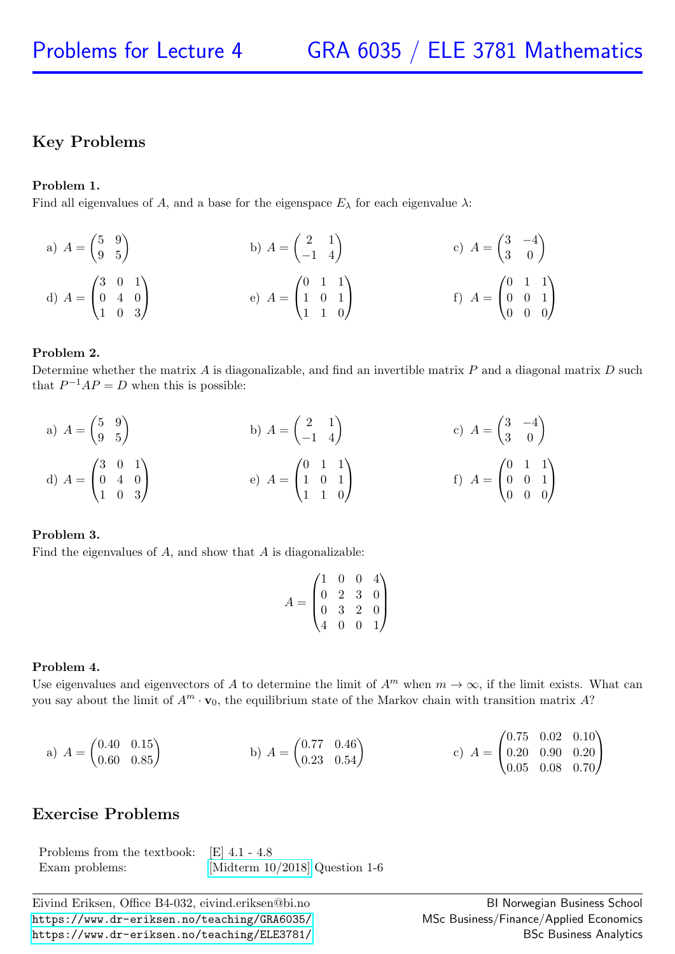# Key Problems

## Problem 1.

Find all eigenvalues of A, and a base for the eigenspace  $E_{\lambda}$  for each eigenvalue  $\lambda$ :

a) 
$$
A = \begin{pmatrix} 5 & 9 \\ 9 & 5 \end{pmatrix}
$$
  
b)  $A = \begin{pmatrix} 2 & 1 \\ -1 & 4 \end{pmatrix}$   
c)  $A = \begin{pmatrix} 3 & -4 \\ 3 & 0 \end{pmatrix}$   
d)  $A = \begin{pmatrix} 3 & 0 & 1 \\ 0 & 4 & 0 \\ 1 & 0 & 3 \end{pmatrix}$   
e)  $A = \begin{pmatrix} 0 & 1 & 1 \\ 1 & 0 & 1 \\ 1 & 1 & 0 \end{pmatrix}$   
f)  $A = \begin{pmatrix} 0 & 1 & 1 \\ 0 & 0 & 1 \\ 0 & 0 & 0 \end{pmatrix}$ 

## Problem 2.

Determine whether the matrix  $A$  is diagonalizable, and find an invertible matrix  $P$  and a diagonal matrix  $D$  such that  $P^{-1}AP = D$  when this is possible:

a) 
$$
A = \begin{pmatrix} 5 & 9 \\ 9 & 5 \end{pmatrix}
$$
  
b)  $A = \begin{pmatrix} 2 & 1 \\ -1 & 4 \end{pmatrix}$   
c)  $A = \begin{pmatrix} 3 & -4 \\ 3 & 0 \end{pmatrix}$   
d)  $A = \begin{pmatrix} 3 & 0 & 1 \\ 0 & 4 & 0 \\ 1 & 0 & 3 \end{pmatrix}$   
e)  $A = \begin{pmatrix} 0 & 1 & 1 \\ 1 & 0 & 1 \\ 1 & 1 & 0 \end{pmatrix}$   
f)  $A = \begin{pmatrix} 0 & 1 & 1 \\ 0 & 0 & 1 \\ 0 & 0 & 0 \end{pmatrix}$ 

### Problem 3.

Find the eigenvalues of  $A$ , and show that  $A$  is diagonalizable:

$$
A = \begin{pmatrix} 1 & 0 & 0 & 4 \\ 0 & 2 & 3 & 0 \\ 0 & 3 & 2 & 0 \\ 4 & 0 & 0 & 1 \end{pmatrix}
$$

### Problem 4.

Use eigenvalues and eigenvectors of A to determine the limit of  $A^m$  when  $m \to \infty$ , if the limit exists. What can you say about the limit of  $A^m \cdot \mathbf{v}_0$ , the equilibrium state of the Markov chain with transition matrix A?

a) 
$$
A = \begin{pmatrix} 0.40 & 0.15 \\ 0.60 & 0.85 \end{pmatrix}
$$
 b)  $A = \begin{pmatrix} 0.77 & 0.46 \\ 0.23 & 0.54 \end{pmatrix}$  c)  $A = \begin{pmatrix} 0.75 & 0.02 & 0.10 \\ 0.20 & 0.90 & 0.20 \\ 0.05 & 0.08 & 0.70 \end{pmatrix}$ 

## Exercise Problems

Problems from the textbook: [E] 4.1 - 4.8 Exam problems: [\[Midterm 10/2018\]](https://www.dr-eriksen.no/teaching/GRA6035/Exams/midterm-2018-10.pdf) Question 1-6

Eivind Eriksen, Office B4-032, eivind.eriksen@bi.no <https://www.dr-eriksen.no/teaching/GRA6035/> <https://www.dr-eriksen.no/teaching/ELE3781/>